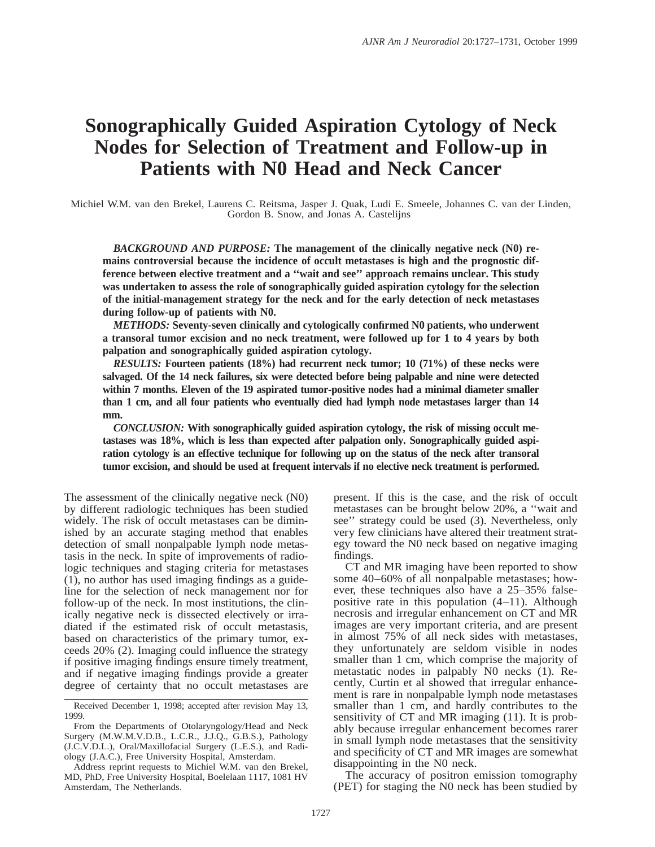# **Sonographically Guided Aspiration Cytology of Neck Nodes for Selection of Treatment and Follow-up in Patients with N0 Head and Neck Cancer**

Michiel W.M. van den Brekel, Laurens C. Reitsma, Jasper J. Quak, Ludi E. Smeele, Johannes C. van der Linden, Gordon B. Snow, and Jonas A. Castelijns

*BACKGROUND AND PURPOSE:* **The management of the clinically negative neck (N0) remains controversial because the incidence of occult metastases is high and the prognostic difference between elective treatment and a ''wait and see'' approach remains unclear. This study was undertaken to assess the role of sonographically guided aspiration cytology for the selection of the initial-management strategy for the neck and for the early detection of neck metastases during follow-up of patients with N0.**

*METHODS:* **Seventy-seven clinically and cytologically confirmed N0 patients, who underwent a transoral tumor excision and no neck treatment, were followed up for 1 to 4 years by both palpation and sonographically guided aspiration cytology.**

*RESULTS:* **Fourteen patients (18%) had recurrent neck tumor; 10 (71%) of these necks were salvaged. Of the 14 neck failures, six were detected before being palpable and nine were detected within 7 months. Eleven of the 19 aspirated tumor-positive nodes had a minimal diameter smaller than 1 cm, and all four patients who eventually died had lymph node metastases larger than 14 mm.**

*CONCLUSION:* **With sonographically guided aspiration cytology, the risk of missing occult metastases was 18%, which is less than expected after palpation only. Sonographically guided aspiration cytology is an effective technique for following up on the status of the neck after transoral tumor excision, and should be used at frequent intervals if no elective neck treatment is performed.**

The assessment of the clinically negative neck (N0) by different radiologic techniques has been studied widely. The risk of occult metastases can be diminished by an accurate staging method that enables detection of small nonpalpable lymph node metastasis in the neck. In spite of improvements of radiologic techniques and staging criteria for metastases (1), no author has used imaging findings as a guideline for the selection of neck management nor for follow-up of the neck. In most institutions, the clinically negative neck is dissected electively or irradiated if the estimated risk of occult metastasis, based on characteristics of the primary tumor, exceeds 20% (2). Imaging could influence the strategy if positive imaging findings ensure timely treatment, and if negative imaging findings provide a greater degree of certainty that no occult metastases are

Address reprint requests to Michiel W.M. van den Brekel, MD, PhD, Free University Hospital, Boelelaan 1117, 1081 HV Amsterdam, The Netherlands.

present. If this is the case, and the risk of occult metastases can be brought below 20%, a ''wait and see'' strategy could be used (3). Nevertheless, only very few clinicians have altered their treatment strategy toward the N0 neck based on negative imaging findings.

CT and MR imaging have been reported to show some 40–60% of all nonpalpable metastases; however, these techniques also have a 25–35% falsepositive rate in this population (4–11). Although necrosis and irregular enhancement on CT and MR images are very important criteria, and are present in almost 75% of all neck sides with metastases, they unfortunately are seldom visible in nodes smaller than 1 cm, which comprise the majority of metastatic nodes in palpably N0 necks (1). Recently, Curtin et al showed that irregular enhancement is rare in nonpalpable lymph node metastases smaller than 1 cm, and hardly contributes to the sensitivity of CT and MR imaging (11). It is probably because irregular enhancement becomes rarer in small lymph node metastases that the sensitivity and specificity of CT and MR images are somewhat disappointing in the N0 neck.

The accuracy of positron emission tomography (PET) for staging the N0 neck has been studied by

Received December 1, 1998; accepted after revision May 13, 1999.

From the Departments of Otolaryngology/Head and Neck Surgery (M.W.M.V.D.B., L.C.R., J.J.Q., G.B.S.), Pathology (J.C.V.D.L.), Oral/Maxillofacial Surgery (L.E.S.), and Radiology (J.A.C.), Free University Hospital, Amsterdam.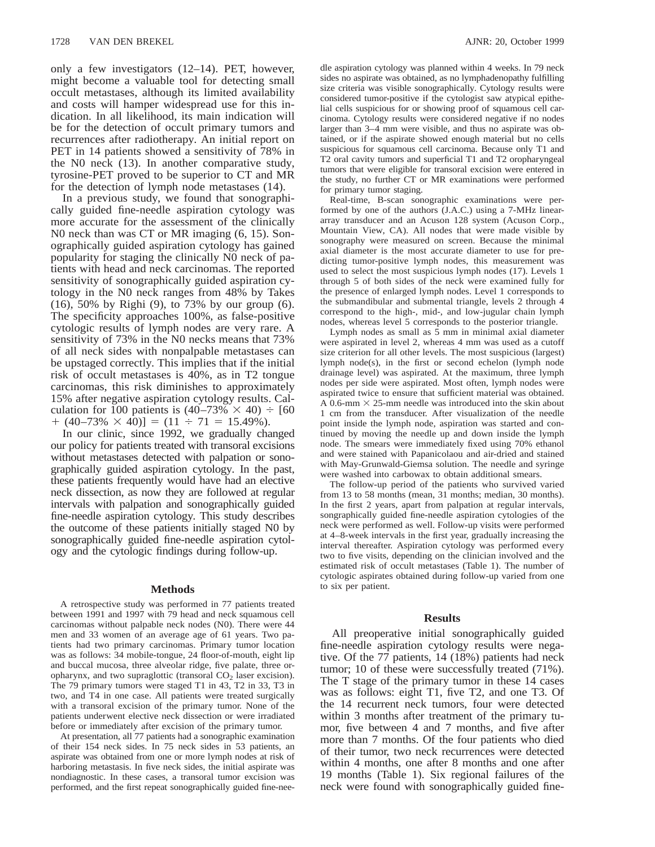only a few investigators (12–14). PET, however, might become a valuable tool for detecting small occult metastases, although its limited availability and costs will hamper widespread use for this indication. In all likelihood, its main indication will be for the detection of occult primary tumors and recurrences after radiotherapy. An initial report on PET in 14 patients showed a sensitivity of 78% in the N0 neck (13). In another comparative study, tyrosine-PET proved to be superior to CT and MR for the detection of lymph node metastases (14).

In a previous study, we found that sonographically guided fine-needle aspiration cytology was more accurate for the assessment of the clinically N0 neck than was CT or MR imaging (6, 15). Sonographically guided aspiration cytology has gained popularity for staging the clinically N0 neck of patients with head and neck carcinomas. The reported sensitivity of sonographically guided aspiration cytology in the N0 neck ranges from 48% by Takes (16), 50% by Righi (9), to 73% by our group (6). The specificity approaches 100%, as false-positive cytologic results of lymph nodes are very rare. A sensitivity of 73% in the N0 necks means that 73% of all neck sides with nonpalpable metastases can be upstaged correctly. This implies that if the initial risk of occult metastases is 40%, as in T2 tongue carcinomas, this risk diminishes to approximately 15% after negative aspiration cytology results. Calculation for 100 patients is  $(40-73\% \times 40) \div [60$  $+$  (40–73%  $\times$  40)] = (11  $\div$  71 = 15.49%).

In our clinic, since 1992, we gradually changed our policy for patients treated with transoral excisions without metastases detected with palpation or sonographically guided aspiration cytology. In the past, these patients frequently would have had an elective neck dissection, as now they are followed at regular intervals with palpation and sonographically guided fine-needle aspiration cytology. This study describes the outcome of these patients initially staged N0 by sonographically guided fine-needle aspiration cytology and the cytologic findings during follow-up.

## **Methods**

A retrospective study was performed in 77 patients treated between 1991 and 1997 with 79 head and neck squamous cell carcinomas without palpable neck nodes (N0). There were 44 men and 33 women of an average age of 61 years. Two patients had two primary carcinomas. Primary tumor location was as follows: 34 mobile-tongue, 24 floor-of-mouth, eight lip and buccal mucosa, three alveolar ridge, five palate, three oropharynx, and two supraglottic (transoral  $CO<sub>2</sub>$  laser excision). The 79 primary tumors were staged T1 in 43, T2 in 33, T3 in two, and T4 in one case. All patients were treated surgically with a transoral excision of the primary tumor. None of the patients underwent elective neck dissection or were irradiated before or immediately after excision of the primary tumor.

At presentation, all 77 patients had a sonographic examination of their 154 neck sides. In 75 neck sides in 53 patients, an aspirate was obtained from one or more lymph nodes at risk of harboring metastasis. In five neck sides, the initial aspirate was nondiagnostic. In these cases, a transoral tumor excision was performed, and the first repeat sonographically guided fine-needle aspiration cytology was planned within 4 weeks. In 79 neck sides no aspirate was obtained, as no lymphadenopathy fulfilling size criteria was visible sonographically. Cytology results were considered tumor-positive if the cytologist saw atypical epithelial cells suspicious for or showing proof of squamous cell carcinoma. Cytology results were considered negative if no nodes larger than 3–4 mm were visible, and thus no aspirate was obtained, or if the aspirate showed enough material but no cells suspicious for squamous cell carcinoma. Because only T1 and T2 oral cavity tumors and superficial T1 and T2 oropharyngeal tumors that were eligible for transoral excision were entered in the study, no further CT or MR examinations were performed for primary tumor staging.

Real-time, B-scan sonographic examinations were performed by one of the authors (J.A.C.) using a 7-MHz lineararray transducer and an Acuson 128 system (Acuson Corp., Mountain View, CA). All nodes that were made visible by sonography were measured on screen. Because the minimal axial diameter is the most accurate diameter to use for predicting tumor-positive lymph nodes, this measurement was used to select the most suspicious lymph nodes (17). Levels 1 through 5 of both sides of the neck were examined fully for the presence of enlarged lymph nodes. Level 1 corresponds to the submandibular and submental triangle, levels 2 through 4 correspond to the high-, mid-, and low-jugular chain lymph nodes, whereas level 5 corresponds to the posterior triangle.

Lymph nodes as small as 5 mm in minimal axial diameter were aspirated in level 2, whereas 4 mm was used as a cutoff size criterion for all other levels. The most suspicious (largest) lymph node(s), in the first or second echelon (lymph node drainage level) was aspirated. At the maximum, three lymph nodes per side were aspirated. Most often, lymph nodes were aspirated twice to ensure that sufficient material was obtained. A 0.6-mm  $\times$  25-mm needle was introduced into the skin about 1 cm from the transducer. After visualization of the needle point inside the lymph node, aspiration was started and continued by moving the needle up and down inside the lymph node. The smears were immediately fixed using 70% ethanol and were stained with Papanicolaou and air-dried and stained with May-Grunwald-Giemsa solution. The needle and syringe were washed into carbowax to obtain additional smears.

The follow-up period of the patients who survived varied from 13 to 58 months (mean, 31 months; median, 30 months). In the first 2 years, apart from palpation at regular intervals, songraphically guided fine-needle aspiration cytologies of the neck were performed as well. Follow-up visits were performed at 4–8-week intervals in the first year, gradually increasing the interval thereafter. Aspiration cytology was performed every two to five visits, depending on the clinician involved and the estimated risk of occult metastases (Table 1). The number of cytologic aspirates obtained during follow-up varied from one to six per patient.

# **Results**

All preoperative initial sonographically guided fine-needle aspiration cytology results were negative. Of the 77 patients, 14 (18%) patients had neck tumor; 10 of these were successfully treated (71%). The T stage of the primary tumor in these 14 cases was as follows: eight T1, five T2, and one T3. Of the 14 recurrent neck tumors, four were detected within 3 months after treatment of the primary tumor, five between 4 and 7 months, and five after more than 7 months. Of the four patients who died of their tumor, two neck recurrences were detected within 4 months, one after 8 months and one after 19 months (Table 1). Six regional failures of the neck were found with sonographically guided fine-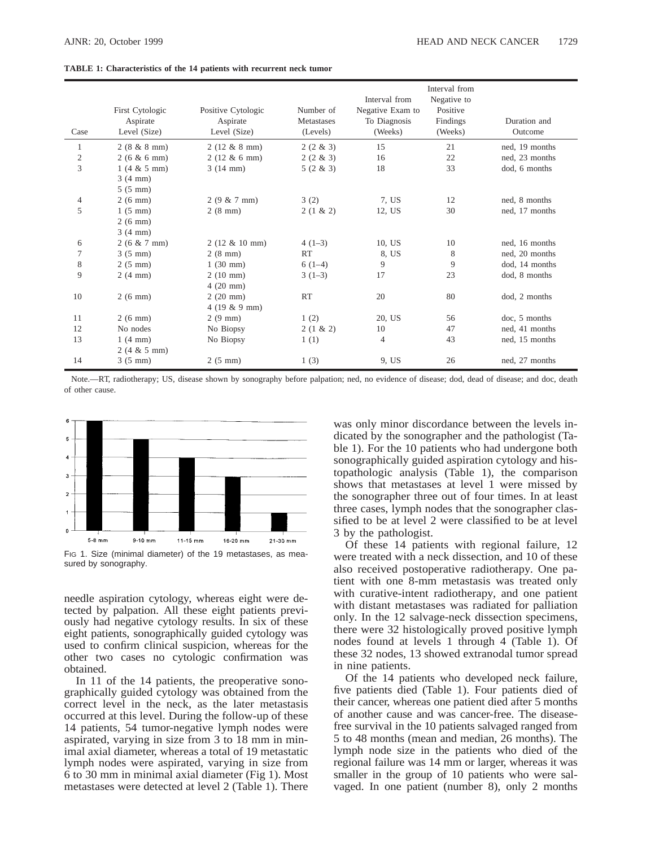|  | <b>TABLE 1: Characteristics of the 14 patients with recurrent neck tumor</b> |  |  |  |  |
|--|------------------------------------------------------------------------------|--|--|--|--|
|  |                                                                              |  |  |  |  |

| Case         | First Cytologic<br>Aspirate<br>Level (Size) | Positive Cytologic<br>Aspirate<br>Level (Size) | Number of<br>Metastases<br>(Levels) | Interval from<br>Negative Exam to<br>To Diagnosis<br>(Weeks) | Interval from<br>Negative to<br>Positive<br>Findings<br>(Weeks) | Duration and<br>Outcome |
|--------------|---------------------------------------------|------------------------------------------------|-------------------------------------|--------------------------------------------------------------|-----------------------------------------------------------------|-------------------------|
| 1            | $2(8 \& 8 mm)$                              | $2(12 \& 8 mm)$                                | $2(2 \& 3)$                         | 15                                                           | 21                                                              | ned, 19 months          |
| $\mathbf{2}$ | $2(6 \& 6 mm)$                              | $2(12 \& 6 mm)$                                | $2(2 \& 3)$                         | 16                                                           | 22                                                              | ned, 23 months          |
| 3            | $1(4 \& 5 mm)$                              | 3(14 mm)                                       | $5(2 \& 3)$                         | 18                                                           | 33                                                              | dod. 6 months           |
|              | 3(4 mm)                                     |                                                |                                     |                                                              |                                                                 |                         |
|              | $5(5 \text{ mm})$                           |                                                |                                     |                                                              |                                                                 |                         |
| 4            | $2(6 \text{ mm})$                           | $2(9 \& 7 mm)$                                 | 3(2)                                | 7, US                                                        | 12                                                              | ned, 8 months           |
| 5            | $1(5 \text{ mm})$                           | $2(8 \text{ mm})$                              | $2(1 \& 2)$                         | 12, US                                                       | 30                                                              | ned, 17 months          |
|              | $2(6 \text{ mm})$                           |                                                |                                     |                                                              |                                                                 |                         |
|              | 3(4 mm)                                     |                                                |                                     |                                                              |                                                                 |                         |
| 6            | $2(6 \& 7 mm)$                              | $2(12 \& 10 \text{ mm})$                       | $4(1-3)$                            | 10, US                                                       | 10                                                              | ned, 16 months          |
| 7            | $3(5 \text{ mm})$                           | $2(8 \text{ mm})$                              | <b>RT</b>                           | 8, US                                                        | 8                                                               | ned, 20 months          |
| $\,8\,$      | $2(5 \text{ mm})$                           | $1(30 \text{ mm})$                             | $6(1-4)$                            | 9                                                            | 9                                                               | dod, 14 months          |
| 9            | 2(4 mm)                                     | $2(10 \text{ mm})$                             | $3(1-3)$                            | 17                                                           | 23                                                              | dod, 8 months           |
|              |                                             | $4(20$ mm)                                     |                                     |                                                              |                                                                 |                         |
| 10           | $2(6 \text{ mm})$                           | $2(20$ mm $)$                                  | <b>RT</b>                           | 20                                                           | 80                                                              | dod, 2 months           |
|              |                                             | $4(19 \& 9 mm)$                                |                                     |                                                              |                                                                 |                         |
| 11           | $2(6 \text{ mm})$                           | $2(9 \text{ mm})$                              | 1(2)                                | 20, US                                                       | 56                                                              | doc, 5 months           |
| 12           | No nodes                                    | No Biopsy                                      | $2(1 \& 2)$                         | 10                                                           | 47                                                              | ned, 41 months          |
| 13           | 1(4 mm)                                     | No Biopsy                                      | 1(1)                                | 4                                                            | 43                                                              | ned, 15 months          |
|              | $2(4 \& 5 mm)$                              |                                                |                                     |                                                              |                                                                 |                         |
| 14           | $3(5 \text{ mm})$                           | $2(5 \text{ mm})$                              | 1(3)                                | 9. US                                                        | 26                                                              | ned, 27 months          |

Note.—RT, radiotherapy; US, disease shown by sonography before palpation; ned, no evidence of disease; dod, dead of disease; and doc, death of other cause.



FIG 1. Size (minimal diameter) of the 19 metastases, as measured by sonography.

needle aspiration cytology, whereas eight were detected by palpation. All these eight patients previously had negative cytology results. In six of these eight patients, sonographically guided cytology was used to confirm clinical suspicion, whereas for the other two cases no cytologic confirmation was obtained.

In 11 of the 14 patients, the preoperative sonographically guided cytology was obtained from the correct level in the neck, as the later metastasis occurred at this level. During the follow-up of these 14 patients, 54 tumor-negative lymph nodes were aspirated, varying in size from 3 to 18 mm in minimal axial diameter, whereas a total of 19 metastatic lymph nodes were aspirated, varying in size from 6 to 30 mm in minimal axial diameter (Fig 1). Most metastases were detected at level 2 (Table 1). There was only minor discordance between the levels indicated by the sonographer and the pathologist (Table 1). For the 10 patients who had undergone both sonographically guided aspiration cytology and histopathologic analysis (Table 1), the comparison shows that metastases at level 1 were missed by the sonographer three out of four times. In at least three cases, lymph nodes that the sonographer classified to be at level 2 were classified to be at level 3 by the pathologist.

Of these 14 patients with regional failure, 12 were treated with a neck dissection, and 10 of these also received postoperative radiotherapy. One patient with one 8-mm metastasis was treated only with curative-intent radiotherapy, and one patient with distant metastases was radiated for palliation only. In the 12 salvage-neck dissection specimens, there were 32 histologically proved positive lymph nodes found at levels 1 through 4 (Table 1). Of these 32 nodes, 13 showed extranodal tumor spread in nine patients.

Of the 14 patients who developed neck failure, five patients died (Table 1). Four patients died of their cancer, whereas one patient died after 5 months of another cause and was cancer-free. The diseasefree survival in the 10 patients salvaged ranged from 5 to 48 months (mean and median, 26 months). The lymph node size in the patients who died of the regional failure was 14 mm or larger, whereas it was smaller in the group of 10 patients who were salvaged. In one patient (number 8), only 2 months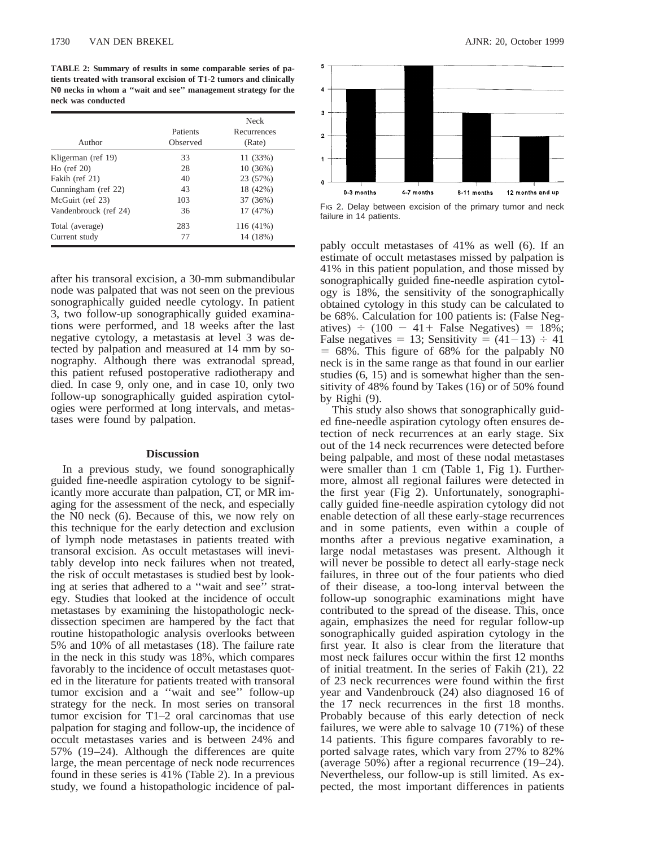**TABLE 2: Summary of results in some comparable series of patients treated with transoral excision of T1-2 tumors and clinically N0 necks in whom a ''wait and see'' management strategy for the neck was conducted**

| Author                | Patients<br>Observed | <b>Neck</b><br>Recurrences<br>(Rate) |
|-----------------------|----------------------|--------------------------------------|
| Kligerman (ref 19)    | 33                   | 11 (33%)                             |
| $Ho$ (ref 20)         | 28                   | 10(36%)                              |
| Fakih (ref 21)        | 40                   | 23 (57%)                             |
| Cunningham (ref 22)   | 43                   | 18 (42%)                             |
| McGuirt (ref 23)      | 103                  | 37 (36%)                             |
| Vandenbrouck (ref 24) | 36                   | 17 (47%)                             |
| Total (average)       | 283                  | 116 (41%)                            |
| Current study         | 77                   | 14 (18%)                             |

after his transoral excision, a 30-mm submandibular node was palpated that was not seen on the previous sonographically guided needle cytology. In patient 3, two follow-up sonographically guided examinations were performed, and 18 weeks after the last negative cytology, a metastasis at level 3 was detected by palpation and measured at 14 mm by sonography. Although there was extranodal spread, this patient refused postoperative radiotherapy and died. In case 9, only one, and in case 10, only two follow-up sonographically guided aspiration cytologies were performed at long intervals, and metastases were found by palpation.

#### **Discussion**

In a previous study, we found sonographically guided fine-needle aspiration cytology to be significantly more accurate than palpation, CT, or MR imaging for the assessment of the neck, and especially the N0 neck (6). Because of this, we now rely on this technique for the early detection and exclusion of lymph node metastases in patients treated with transoral excision. As occult metastases will inevitably develop into neck failures when not treated, the risk of occult metastases is studied best by looking at series that adhered to a ''wait and see'' strategy. Studies that looked at the incidence of occult metastases by examining the histopathologic neckdissection specimen are hampered by the fact that routine histopathologic analysis overlooks between 5% and 10% of all metastases (18). The failure rate in the neck in this study was 18%, which compares favorably to the incidence of occult metastases quoted in the literature for patients treated with transoral tumor excision and a ''wait and see'' follow-up strategy for the neck. In most series on transoral tumor excision for T1–2 oral carcinomas that use palpation for staging and follow-up, the incidence of occult metastases varies and is between 24% and 57% (19–24). Although the differences are quite large, the mean percentage of neck node recurrences found in these series is 41% (Table 2). In a previous study, we found a histopathologic incidence of pal-



FIG 2. Delay between excision of the primary tumor and neck failure in 14 patients.

pably occult metastases of 41% as well (6). If an estimate of occult metastases missed by palpation is 41% in this patient population, and those missed by sonographically guided fine-needle aspiration cytology is 18%, the sensitivity of the sonographically obtained cytology in this study can be calculated to be 68%. Calculation for 100 patients is: (False Negatives)  $\div$  (100 - 41+ False Negatives) = 18%; False negatives = 13; Sensitivity =  $(41-13) \div 41$  $= 68\%$ . This figure of 68% for the palpably N0 neck is in the same range as that found in our earlier studies (6, 15) and is somewhat higher than the sensitivity of 48% found by Takes (16) or of 50% found by Righi (9).

This study also shows that sonographically guided fine-needle aspiration cytology often ensures detection of neck recurrences at an early stage. Six out of the 14 neck recurrences were detected before being palpable, and most of these nodal metastases were smaller than 1 cm (Table 1, Fig 1). Furthermore, almost all regional failures were detected in the first year (Fig 2). Unfortunately, sonographically guided fine-needle aspiration cytology did not enable detection of all these early-stage recurrences and in some patients, even within a couple of months after a previous negative examination, a large nodal metastases was present. Although it will never be possible to detect all early-stage neck failures, in three out of the four patients who died of their disease, a too-long interval between the follow-up sonographic examinations might have contributed to the spread of the disease. This, once again, emphasizes the need for regular follow-up sonographically guided aspiration cytology in the first year. It also is clear from the literature that most neck failures occur within the first 12 months of initial treatment. In the series of Fakih (21), 22 of 23 neck recurrences were found within the first year and Vandenbrouck (24) also diagnosed 16 of the 17 neck recurrences in the first 18 months. Probably because of this early detection of neck failures, we were able to salvage 10 (71%) of these 14 patients. This figure compares favorably to reported salvage rates, which vary from 27% to 82% (average 50%) after a regional recurrence (19–24). Nevertheless, our follow-up is still limited. As expected, the most important differences in patients